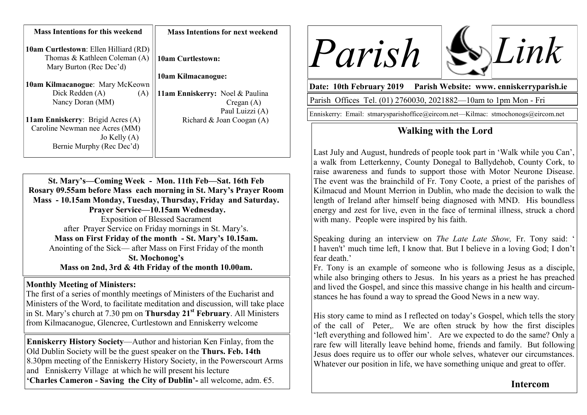| <b>Mass Intentions for this weekend</b>                                                                  | <b>Mass Intentions for next weekend</b> |
|----------------------------------------------------------------------------------------------------------|-----------------------------------------|
| <b>10am Curtlestown: Ellen Hilliard (RD)</b><br>Thomas & Kathleen Coleman (A)<br>Mary Burton (Rec Dec'd) | <b>10am Curtlestown:</b>                |
|                                                                                                          | 10am Kilmacanogue:                      |
| <b>10am Kilmacanogue: Mary McKeown</b>                                                                   |                                         |
| Dick Redden (A)<br>(A)                                                                                   | 11am Enniskerry: Noel & Paulina         |
| Nancy Doran (MM)                                                                                         | $C$ regan $(A)$                         |
|                                                                                                          | Paul Luizzi (A)                         |
| <b>11am Enniskerry: Brigid Acres (A)</b>                                                                 | Richard & Joan Coogan (A)               |
| Caroline Newman nee Acres (MM)                                                                           |                                         |
| Jo Kelly $(A)$                                                                                           |                                         |
| Bernie Murphy (Rec Dec'd)                                                                                |                                         |

**St. Mary's—Coming Week - Mon. 11th Feb—Sat. 16th Feb Rosary 09.55am before Mass each morning in St. Mary's Prayer Room Mass - 10.15am Monday, Tuesday, Thursday, Friday and Saturday. Prayer Service—10.15am Wednesday.**  Exposition of Blessed Sacrament after Prayer Service on Friday mornings in St. Mary's. **Mass on First Friday of the month - St. Mary's 10.15am.** Anointing of the Sick— after Mass on First Friday of the month **St. Mochonog's**

**Mass on 2nd, 3rd & 4th Friday of the month 10.00am.**

### **Monthly Meeting of Ministers:**

The first of a series of monthly meetings of Ministers of the Eucharist and Ministers of the Word, to facilitate meditation and discussion, will take place in St. Mary's church at 7.30 pm on **Thursday 21st February**. All Ministers from Kilmacanogue, Glencree, Curtlestown and Enniskerry welcome

**Enniskerry History Society**—Author and historian Ken Finlay, from the Old Dublin Society will be the guest speaker on the **Thurs. Feb. 14th**  8.30pm meeting of the Enniskerry History Society, in the Powerscourt Arms and Enniskerry Village at which he will present his lecture **'Charles Cameron - Saving the City of Dublin'-** all welcome, adm. €5.





**Date: 10th February 2019 Parish Website: www. enniskerryparish.ie**

Parish Offices Tel. (01) 2760030, 2021882—10am to 1pm Mon - Fri

Enniskerry: Email: stmarysparishoffice@eircom.net—Kilmac: stmochonogs@eircom.net

# **Walking with the Lord**

Last July and August, hundreds of people took part in 'Walk while you Can', a walk from Letterkenny, County Donegal to Ballydehob, County Cork, to raise awareness and funds to support those with Motor Neurone Disease. The event was the brainchild of Fr. Tony Coote, a priest of the parishes of Kilmacud and Mount Merrion in Dublin, who made the decision to walk the length of Ireland after himself being diagnosed with MND. His boundless energy and zest for live, even in the face of terminal illness, struck a chord with many. People were inspired by his faith.

Speaking during an interview on *The Late Late Show,* Fr. Tony said: ' I haven't' much time left, I know that. But I believe in a loving God; I don't fear death<sup>?</sup>

Fr. Tony is an example of someone who is following Jesus as a disciple, while also bringing others to Jesus. In his years as a priest he has preached and lived the Gospel, and since this massive change in his health and circumstances he has found a way to spread the Good News in a new way.

His story came to mind as I reflected on today's Gospel, which tells the story of the call of Peter,. We are often struck by how the first disciples 'left everything and followed him'. Are we expected to do the same? Only a rare few will literally leave behind home, friends and family. But following Jesus does require us to offer our whole selves, whatever our circumstances. Whatever our position in life, we have something unique and great to offer.

## **Intercom**